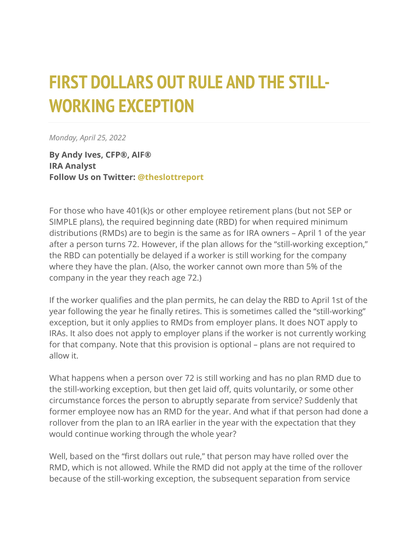## **FIRST DOLLARS OUT RULE AND THE STILL-WORKING EXCEPTION**

*Monday, April 25, 2022*

**By Andy Ives, CFP®, AIF® IRA Analyst Follow Us on Twitter: [@theslottreport](https://twitter.com/theslottreport)**

For those who have 401(k)s or other employee retirement plans (but not SEP or SIMPLE plans), the required beginning date (RBD) for when required minimum distributions (RMDs) are to begin is the same as for IRA owners – April 1 of the year after a person turns 72. However, if the plan allows for the "still-working exception," the RBD can potentially be delayed if a worker is still working for the company where they have the plan. (Also, the worker cannot own more than 5% of the company in the year they reach age 72.)

If the worker qualifies and the plan permits, he can delay the RBD to April 1st of the year following the year he finally retires. This is sometimes called the "still-working" exception, but it only applies to RMDs from employer plans. It does NOT apply to IRAs. It also does not apply to employer plans if the worker is not currently working for that company. Note that this provision is optional – plans are not required to allow it.

What happens when a person over 72 is still working and has no plan RMD due to the still-working exception, but then get laid off, quits voluntarily, or some other circumstance forces the person to abruptly separate from service? Suddenly that former employee now has an RMD for the year. And what if that person had done a rollover from the plan to an IRA earlier in the year with the expectation that they would continue working through the whole year?

Well, based on the "first dollars out rule," that person may have rolled over the RMD, which is not allowed. While the RMD did not apply at the time of the rollover because of the still-working exception, the subsequent separation from service